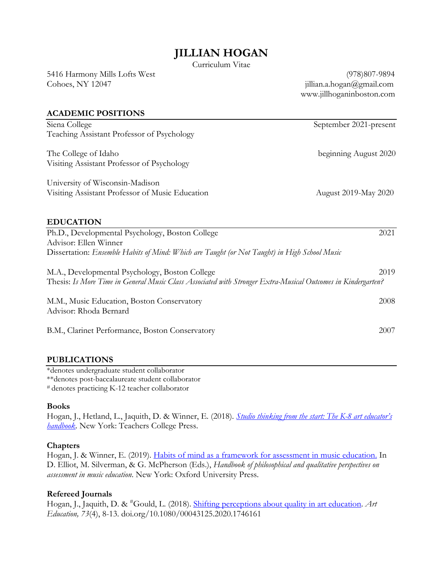## **JILLIAN HOGAN**

Curriculum Vitae

5416 Harmony Mills Lofts West (978)807-9894 Cohoes, NY 12047 jillian.a.hogan@gmail.com

www.jillhoganinboston.com

#### **ACADEMIC POSITIONS**

| Siena College                                                                                                | September 2021-present |
|--------------------------------------------------------------------------------------------------------------|------------------------|
| Teaching Assistant Professor of Psychology                                                                   |                        |
| The College of Idaho                                                                                         | beginning August 2020  |
| Visiting Assistant Professor of Psychology                                                                   |                        |
| University of Wisconsin-Madison                                                                              |                        |
| Visiting Assistant Professor of Music Education                                                              | August 2019-May 2020   |
| <b>EDUCATION</b>                                                                                             |                        |
| Ph.D., Developmental Psychology, Boston College                                                              | 2021                   |
| Advisor: Ellen Winner                                                                                        |                        |
| Dissertation: Ensemble Habits of Mind: Which are Taught (or Not Taught) in High School Music                 |                        |
| M.A., Developmental Psychology, Boston College                                                               | 2019                   |
| Thesis: Is More Time in General Music Class Associated with Stronger Extra-Musical Outcomes in Kindergarten? |                        |
| M.M., Music Education, Boston Conservatory                                                                   | 2008                   |
| Advisor: Rhoda Bernard                                                                                       |                        |
| B.M., Clarinet Performance, Boston Conservatory                                                              | 2007                   |

#### **PUBLICATIONS**

\*denotes undergraduate student collaborator \*\*denotes post-baccalaureate student collaborator

# denotes practicing K-12 teacher collaborator

#### **Books**

Hogan, J., Hetland, L., Jaquith, D. & Winner, E. (2018). *Studio thinking from the start: The K-8 art educator's handbook*. New York: Teachers College Press.

#### **Chapters**

Hogan, J. & Winner, E. (2019). Habits of mind as a framework for assessment in music education. In D. Elliot, M. Silverman, & G. McPherson (Eds.), *Handbook of philosophical and qualitative perspectives on assessment in music education*. New York: Oxford University Press.

#### **Refereed Journals**

Hogan, J., Jaquith, D. & <sup>#</sup>Gould, L. (2018). Shifting perceptions about quality in art education. Art *Education, 73*(4), 8-13. doi.org/10.1080/00043125.2020.1746161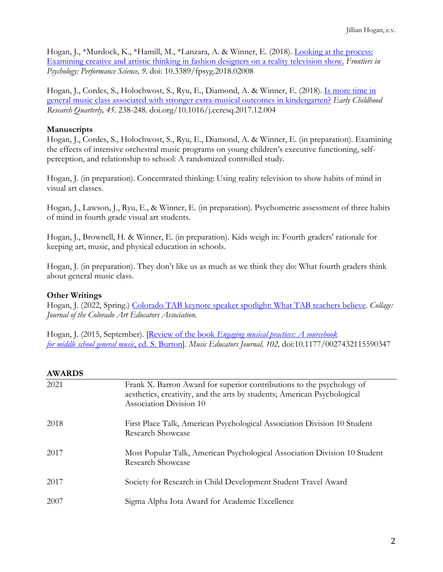Hogan, J., \*Murdock, K., \*Hamill, M., \*Lanzara, A. & Winner, E. (2018). Looking at the process: Examining creative and artistic thinking in fashion designers on a reality television show. *Frontiers in Psychology: Performance Science, 9*. doi: 10.3389/fpsyg.2018.02008

Hogan, J., Cordes, S., Holochwost, S., Ryu, E., Diamond, A. & Winner, E. (2018). Is more time in general music class associated with stronger extra-musical outcomes in kindergarten? *Early Childhood Research Quarterly, 45*. 238-248. doi.org/10.1016/j.ecresq.2017.12.004

## **Manuscripts**

Hogan, J., Cordes, S., Holochwost, S., Ryu, E., Diamond, A. & Winner, E. (in preparation). Examining the effects of intensive orchestral music programs on young children's executive functioning, selfperception, and relationship to school: A randomized controlled study.

Hogan, J. (in preparation). Concentrated thinking: Using reality television to show habits of mind in visual art classes.

Hogan, J., Lawson, J., Ryu, E., & Winner, E. (in preparation). Psychometric assessment of three habits of mind in fourth grade visual art students.

Hogan, J., Brownell, H. & Winner, E. (in preparation). Kids weigh in: Fourth graders' rationale for keeping art, music, and physical education in schools.

Hogan, J. (in preparation). They don't like us as much as we think they do: What fourth graders think about general music class.

## **Other Writings**

Hogan, J. (2022, Spring.) Colorado TAB keynote speaker spotlight: What TAB teachers believe. *Collage: Journal of the Colorado Art Educators Association.* 

Hogan, J. (2015, September). [Review of the book *Engaging musical practices: A sourcebook for middle school general music*, ed. S. Burton]. *Music Educators Journal, 102,* doi:10.1177/0027432115590347

## **AWARDS**

| 2021 | Frank X. Barron Award for superior contributions to the psychology of<br>aesthetics, creativity, and the arts by students; American Psychological<br>Association Division 10 |
|------|------------------------------------------------------------------------------------------------------------------------------------------------------------------------------|
| 2018 | First Place Talk, American Psychological Association Division 10 Student<br><b>Research Showcase</b>                                                                         |
| 2017 | Most Popular Talk, American Psychological Association Division 10 Student<br>Research Showcase                                                                               |
| 2017 | Society for Research in Child Development Student Travel Award                                                                                                               |
| 2007 | Sigma Alpha Iota Award for Academic Excellence                                                                                                                               |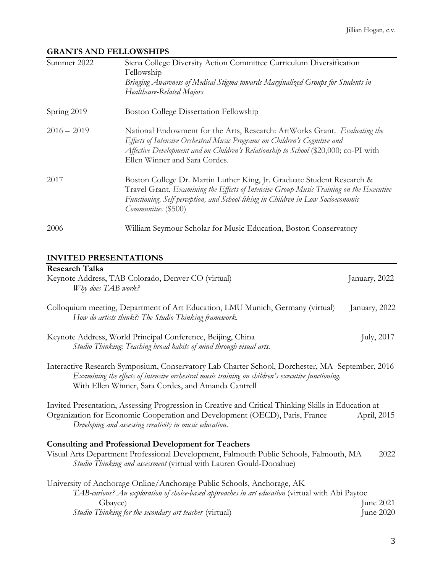## **GRANTS AND FELLOWSHIPS**

| Summer 2022   | Siena College Diversity Action Committee Curriculum Diversification<br>Fellowship<br>Bringing Awareness of Medical Stigma towards Marginalized Groups for Students in<br>Healthcare-Related Majors                                                                               |
|---------------|----------------------------------------------------------------------------------------------------------------------------------------------------------------------------------------------------------------------------------------------------------------------------------|
| Spring 2019   | <b>Boston College Dissertation Fellowship</b>                                                                                                                                                                                                                                    |
| $2016 - 2019$ | National Endowment for the Arts, Research: ArtWorks Grant. Evaluating the<br>Effects of Intensive Orchestral Music Programs on Children's Cognitive and<br>Affective Development and on Children's Relationship to School (\$20,000; co-PI with<br>Ellen Winner and Sara Cordes. |
| 2017          | Boston College Dr. Martin Luther King, Jr. Graduate Student Research &<br>Travel Grant. Examining the Effects of Intensive Group Music Training on the Executive<br>Functioning, Self-perception, and School-liking in Children in Low Socioeconomic<br>Communities (\$500)      |
| 2006          | William Seymour Scholar for Music Education, Boston Conservatory                                                                                                                                                                                                                 |

# **INVITED PRESENTATIONS**

| <b>Research Talks</b><br>Keynote Address, TAB Colorado, Denver CO (virtual)<br>Why does TAB work?                                                                                                                                                           | January, 2022          |
|-------------------------------------------------------------------------------------------------------------------------------------------------------------------------------------------------------------------------------------------------------------|------------------------|
| Colloquium meeting, Department of Art Education, LMU Munich, Germany (virtual)<br>How do artists think?: The Studio Thinking framework.                                                                                                                     | January, 2022          |
| Keynote Address, World Principal Conference, Beijing, China<br>Studio Thinking: Teaching broad habits of mind through visual arts.                                                                                                                          | July, 2017             |
| Interactive Research Symposium, Conservatory Lab Charter School, Dorchester, MA September, 2016<br>Examining the effects of intensive orchestral music training on children's executive functioning.<br>With Ellen Winner, Sara Cordes, and Amanda Cantrell |                        |
| Invited Presentation, Assessing Progression in Creative and Critical Thinking Skills in Education at<br>Organization for Economic Cooperation and Development (OECD), Paris, France<br>Developing and assessing creativity in music education.              | April, 2015            |
| <b>Consulting and Professional Development for Teachers</b><br>Visual Arts Department Professional Development, Falmouth Public Schools, Falmouth, MA<br>Studio Thinking and assessment (virtual with Lauren Gould-Donahue)                                 | 2022                   |
| University of Anchorage Online/Anchorage Public Schools, Anchorage, AK<br>TAB-curious? An exploration of choice-based approaches in art education (virtual with Abi Paytoe<br>Gbayee)<br><i>Studio Thinking for the secondary art teacher</i> (virtual)     | June 2021<br>June 2020 |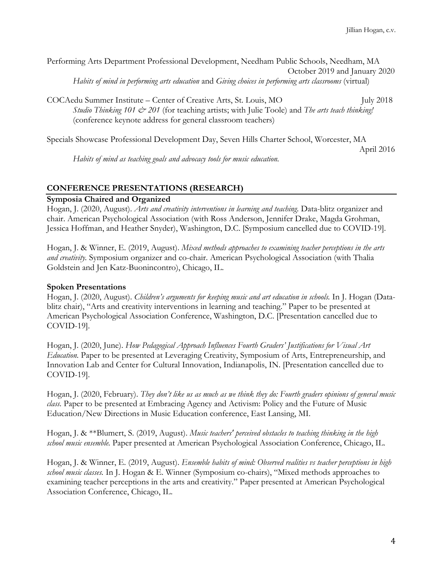Performing Arts Department Professional Development, Needham Public Schools, Needham, MA October 2019 and January 2020 *Habits of mind in performing arts education* and *Giving choices in performing arts classrooms* (virtual)

COCAedu Summer Institute – Center of Creative Arts, St. Louis, MO July 2018 *Studio Thinking 101 & 201* (for teaching artists; with Julie Toole) and *The arts teach thinking!* (conference keynote address for general classroom teachers)

Specials Showcase Professional Development Day, Seven Hills Charter School, Worcester, MA April 2016

*Habits of mind as teaching goals and advocacy tools for music education.* 

#### **CONFERENCE PRESENTATIONS (RESEARCH)**

#### **Symposia Chaired and Organized**

Hogan, J. (2020, August). *Arts and creativity interventions in learning and teaching.* Data-blitz organizer and chair. American Psychological Association (with Ross Anderson, Jennifer Drake, Magda Grohman, Jessica Hoffman, and Heather Snyder), Washington, D.C. [Symposium cancelled due to COVID-19].

Hogan, J. & Winner, E. (2019, August). *Mixed methods approaches to examining teacher perceptions in the arts and creativity.* Symposium organizer and co-chair. American Psychological Association (with Thalia Goldstein and Jen Katz-Buonincontro), Chicago, IL.

#### **Spoken Presentations**

Hogan, J. (2020, August). *Children's arguments for keeping music and art education in schools.* In J. Hogan (Datablitz chair), "Arts and creativity interventions in learning and teaching." Paper to be presented at American Psychological Association Conference, Washington, D.C. [Presentation cancelled due to COVID-19].

Hogan, J. (2020, June). *How Pedagogical Approach Influences Fourth Graders' Justifications for Visual Art Education.* Paper to be presented at Leveraging Creativity, Symposium of Arts, Entrepreneurship, and Innovation Lab and Center for Cultural Innovation, Indianapolis, IN. [Presentation cancelled due to COVID-19].

Hogan, J. (2020, February). *They don't like us as much as we think they do: Fourth graders opinions of general music class.* Paper to be presented at Embracing Agency and Activism: Policy and the Future of Music Education/New Directions in Music Education conference, East Lansing, MI.

Hogan, J. & \*\*Blumert, S. (2019, August). *Music teachers' perceived obstacles to teaching thinking in the high school music ensemble.* Paper presented at American Psychological Association Conference, Chicago, IL.

Hogan, J. & Winner, E. (2019, August). *Ensemble habits of mind: Observed realities vs teacher perceptions in high school music classes.* In J. Hogan & E. Winner (Symposium co-chairs), "Mixed methods approaches to examining teacher perceptions in the arts and creativity." Paper presented at American Psychological Association Conference, Chicago, IL.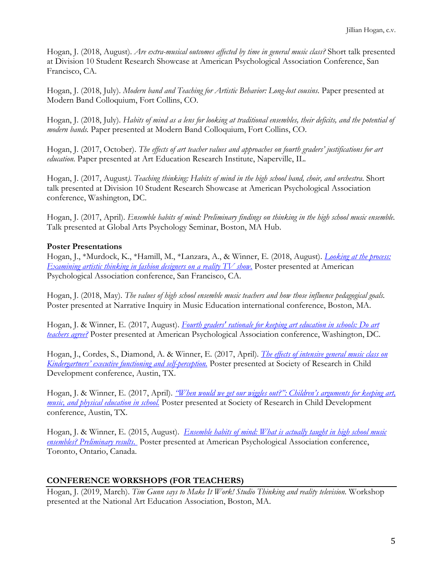Hogan, J. (2018, August). *Are extra-musical outcomes affected by time in general music class?* Short talk presented at Division 10 Student Research Showcase at American Psychological Association Conference, San Francisco, CA.

Hogan, J. (2018, July). *Modern band and Teaching for Artistic Behavior: Long-lost cousins*. Paper presented at Modern Band Colloquium, Fort Collins, CO.

Hogan, J. (2018, July). *Habits of mind as a lens for looking at traditional ensembles, their deficits, and the potential of modern bands.* Paper presented at Modern Band Colloquium, Fort Collins, CO.

Hogan, J. (2017, October). *The effects of art teacher values and approaches on fourth graders' justifications for art education.* Paper presented at Art Education Research Institute, Naperville, IL.

Hogan, J. (2017, August*). Teaching thinking: Habits of mind in the high school band, choir, and orchestra*. Short talk presented at Division 10 Student Research Showcase at American Psychological Association conference, Washington, DC.

Hogan, J. (2017, April). *Ensemble habits of mind: Preliminary findings on thinking in the high school music ensemble.* Talk presented at Global Arts Psychology Seminar, Boston, MA Hub.

## **Poster Presentations**

Hogan, J., \*Murdock, K., \*Hamill, M., \*Lanzara, A., & Winner, E. (2018, August). *Looking at the process: Examining artistic thinking in fashion designers on a reality TV show.* Poster presented at American Psychological Association conference, San Francisco, CA.

Hogan, J. (2018, May). *The values of high school ensemble music teachers and how those influence pedagogical goals.* Poster presented at Narrative Inquiry in Music Education international conference, Boston, MA.

Hogan, J. & Winner, E. (2017, August). *Fourth graders' rationale for keeping art education in schools: Do art teachers agree?* Poster presented at American Psychological Association conference, Washington, DC.

Hogan, J., Cordes, S., Diamond, A. & Winner, E. (2017, April). *The effects of intensive general music class on Kindergartners' executive functioning and self-perception.* Poster presented at Society of Research in Child Development conference, Austin, TX.

Hogan, J. & Winner, E. (2017, April). *"When would we get our wiggles out?": Children's arguments for keeping art, music, and physical education in school.* Poster presented at Society of Research in Child Development conference, Austin, TX.

Hogan, J. & Winner, E. (2015, August). *Ensemble habits of mind: What is actually taught in high school music ensembles? Preliminary results*. Poster presented at American Psychological Association conference, Toronto, Ontario, Canada.

## **CONFERENCE WORKSHOPS (FOR TEACHERS)**

Hogan, J. (2019, March). *Tim Gunn says to Make It Work! Studio Thinking and reality television.* Workshop presented at the National Art Education Association, Boston, MA.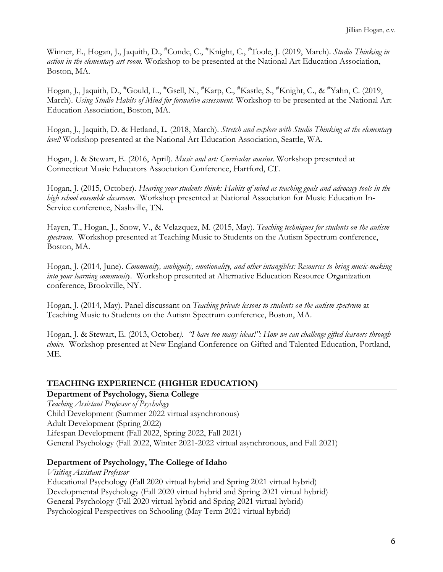Winner, E., Hogan, J., Jaquith, D., #Conde, C., #Knight, C., #Toole, J. (2019, March). *Studio Thinking in action in the elementary art room.* Workshop to be presented at the National Art Education Association, Boston, MA.

Hogan, J., Jaquith, D., #Gould, L., #Gsell, N., #Karp, C., #Kastle, S., #Knight, C., & #Yahn, C. (2019, March). *Using Studio Habits of Mind for formative assessment.* Workshop to be presented at the National Art Education Association, Boston, MA.

Hogan, J., Jaquith, D. & Hetland, L. (2018, March). *Stretch and explore with Studio Thinking at the elementary level!* Workshop presented at the National Art Education Association, Seattle, WA.

Hogan, J. & Stewart, E. (2016, April). *Music and art: Curricular cousins*. Workshop presented at Connecticut Music Educators Association Conference, Hartford, CT.

Hogan, J. (2015, October). *Hearing your students think: Habits of mind as teaching goals and advocacy tools in the high school ensemble classroom*. Workshop presented at National Association for Music Education In-Service conference, Nashville, TN.

Hayen, T., Hogan, J., Snow, V., & Velazquez, M. (2015, May). *Teaching techniques for students on the autism spectrum*. Workshop presented at Teaching Music to Students on the Autism Spectrum conference, Boston, MA.

Hogan, J. (2014, June). *Community, ambiguity, emotionality, and other intangibles: Resources to bring music-making into your learning community*. Workshop presented at Alternative Education Resource Organization conference, Brookville, NY.

Hogan, J. (2014, May). Panel discussant on *Teaching private lessons to students on the autism spectrum* at Teaching Music to Students on the Autism Spectrum conference, Boston, MA.

Hogan, J. & Stewart, E. (2013, October*). "I have too many ideas!": How we can challenge gifted learners through choice.* Workshop presented at New England Conference on Gifted and Talented Education, Portland, ME.

#### **TEACHING EXPERIENCE (HIGHER EDUCATION)**

**Department of Psychology, Siena College** *Teaching Assistant Professor of Psychology* Child Development (Summer 2022 virtual asynchronous) Adult Development (Spring 2022) Lifespan Development (Fall 2022, Spring 2022, Fall 2021) General Psychology (Fall 2022, Winter 2021-2022 virtual asynchronous, and Fall 2021)

#### **Department of Psychology, The College of Idaho**

*Visiting Assistant Professor* Educational Psychology (Fall 2020 virtual hybrid and Spring 2021 virtual hybrid) Developmental Psychology (Fall 2020 virtual hybrid and Spring 2021 virtual hybrid) General Psychology (Fall 2020 virtual hybrid and Spring 2021 virtual hybrid) Psychological Perspectives on Schooling (May Term 2021 virtual hybrid)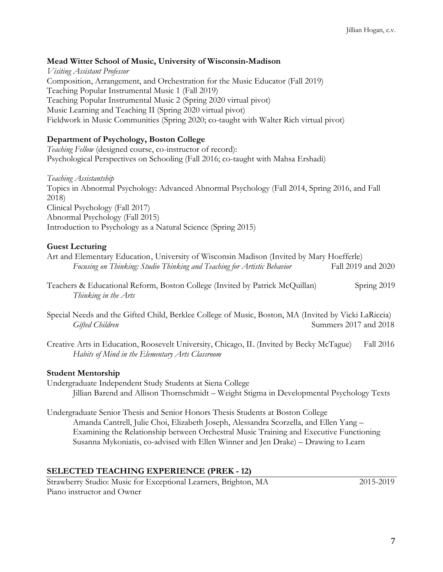#### **Mead Witter School of Music, University of Wisconsin-Madison**

*Visiting Assistant Professor* Composition, Arrangement, and Orchestration for the Music Educator (Fall 2019) Teaching Popular Instrumental Music 1 (Fall 2019) Teaching Popular Instrumental Music 2 (Spring 2020 virtual pivot) Music Learning and Teaching II (Spring 2020 virtual pivot) Fieldwork in Music Communities (Spring 2020; co-taught with Walter Rich virtual pivot)

### **Department of Psychology, Boston College**

*Teaching Fellow* (designed course, co-instructor of record): Psychological Perspectives on Schooling (Fall 2016; co-taught with Mahsa Ershadi)

*Teaching Assistantship* Topics in Abnormal Psychology: Advanced Abnormal Psychology (Fall 2014, Spring 2016, and Fall 2018) Clinical Psychology (Fall 2017) Abnormal Psychology (Fall 2015) Introduction to Psychology as a Natural Science (Spring 2015)

#### **Guest Lecturing**

Art and Elementary Education, University of Wisconsin Madison (Invited by Mary Hoefferle) *Focusing on Thinking: Studio Thinking and Teaching for Artistic Behavior* Fall 2019 and 2020

- Teachers & Educational Reform, Boston College (Invited by Patrick McQuillan) Spring 2019 *Thinking in the Arts*
- Special Needs and the Gifted Child, Berklee College of Music, Boston, MA (Invited by Vicki LaRiccia) *Gifted Children* Summers 2017 and 2018
- Creative Arts in Education, Roosevelt University, Chicago, IL (Invited by Becky McTague) Fall 2016 *Habits of Mind in the Elementary Arts Classroom*

#### **Student Mentorship**

Undergraduate Independent Study Students at Siena College Jillian Barend and Allison Thornschmidt – Weight Stigma in Developmental Psychology Texts

Undergraduate Senior Thesis and Senior Honors Thesis Students at Boston College Amanda Cantrell, Julie Choi, Elizabeth Joseph, Alessandra Scorzella, and Ellen Yang – Examining the Relationship between Orchestral Music Training and Executive Functioning Susanna Mykoniatis, co-advised with Ellen Winner and Jen Drake) – Drawing to Learn

#### **SELECTED TEACHING EXPERIENCE (PREK - 12)**

Strawberry Studio: Music for Exceptional Learners, Brighton, MA 2015-2019 Piano instructor and Owner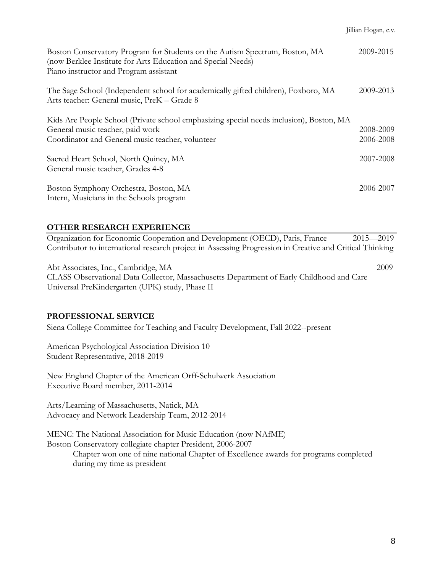| Boston Conservatory Program for Students on the Autism Spectrum, Boston, MA<br>(now Berklee Institute for Arts Education and Special Needs)<br>Piano instructor and Program assistant | 2009-2015              |
|---------------------------------------------------------------------------------------------------------------------------------------------------------------------------------------|------------------------|
| The Sage School (Independent school for academically gifted children), Foxboro, MA<br>Arts teacher: General music, PreK - Grade 8                                                     | 2009-2013              |
| Kids Are People School (Private school emphasizing special needs inclusion), Boston, MA<br>General music teacher, paid work<br>Coordinator and General music teacher, volunteer       | 2008-2009<br>2006-2008 |
| Sacred Heart School, North Quincy, MA<br>General music teacher, Grades 4-8                                                                                                            | 2007-2008              |
| Boston Symphony Orchestra, Boston, MA<br>Intern, Musicians in the Schools program                                                                                                     | 2006-2007              |

#### **OTHER RESEARCH EXPERIENCE**

Organization for Economic Cooperation and Development (OECD), Paris, France 2015—2019 Contributor to international research project in Assessing Progression in Creative and Critical Thinking

Abt Associates, Inc., Cambridge, MA 2009 CLASS Observational Data Collector, Massachusetts Department of Early Childhood and Care Universal PreKindergarten (UPK) study, Phase II

#### **PROFESSIONAL SERVICE**

Siena College Committee for Teaching and Faculty Development, Fall 2022--present

American Psychological Association Division 10 Student Representative, 2018-2019

New England Chapter of the American Orff-Schulwerk Association Executive Board member, 2011-2014

Arts/Learning of Massachusetts, Natick, MA Advocacy and Network Leadership Team, 2012-2014

MENC: The National Association for Music Education (now NAfME) Boston Conservatory collegiate chapter President, 2006-2007

Chapter won one of nine national Chapter of Excellence awards for programs completed during my time as president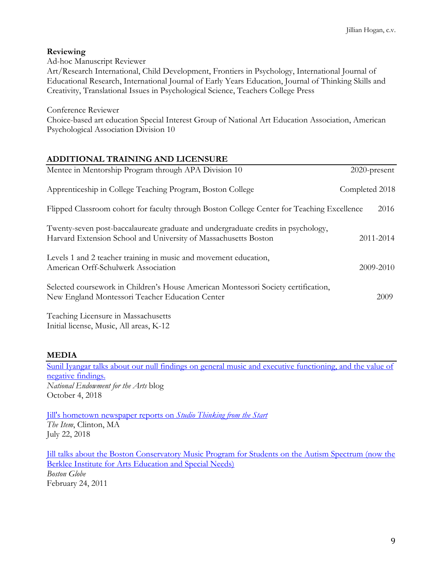## **Reviewing**

Ad-hoc Manuscript Reviewer

Art/Research International, Child Development, Frontiers in Psychology, International Journal of Educational Research, International Journal of Early Years Education, Journal of Thinking Skills and Creativity, Translational Issues in Psychological Science, Teachers College Press

Conference Reviewer

Choice-based art education Special Interest Group of National Art Education Association, American Psychological Association Division 10

## **ADDITIONAL TRAINING AND LICENSURE**

| Mentee in Mentorship Program through APA Division 10                                                                                                 | 2020-present   |
|------------------------------------------------------------------------------------------------------------------------------------------------------|----------------|
| Apprenticeship in College Teaching Program, Boston College                                                                                           | Completed 2018 |
| Flipped Classroom cohort for faculty through Boston College Center for Teaching Excellence                                                           | 2016           |
| Twenty-seven post-baccalaureate graduate and undergraduate credits in psychology,<br>Harvard Extension School and University of Massachusetts Boston | 2011-2014      |
| Levels 1 and 2 teacher training in music and movement education,<br>American Orff-Schulwerk Association                                              | 2009-2010      |
| Selected coursework in Children's House American Montessori Society certification,<br>New England Montessori Teacher Education Center                | 2009           |
|                                                                                                                                                      |                |

Teaching Licensure in Massachusetts Initial license, Music, All areas, K-12

## **MEDIA**

Sunil Iyangar talks about our null findings on general music and executive functioning, and the value of negative findings. *National Endowment for the Arts* blog October 4, 2018

Jill's hometown newspaper reports on *Studio Thinking from the Start The Item*, Clinton, MA July 22, 2018

Jill talks about the Boston Conservatory Music Program for Students on the Autism Spectrum (now the Berklee Institute for Arts Education and Special Needs) *Boston Globe* February 24, 2011